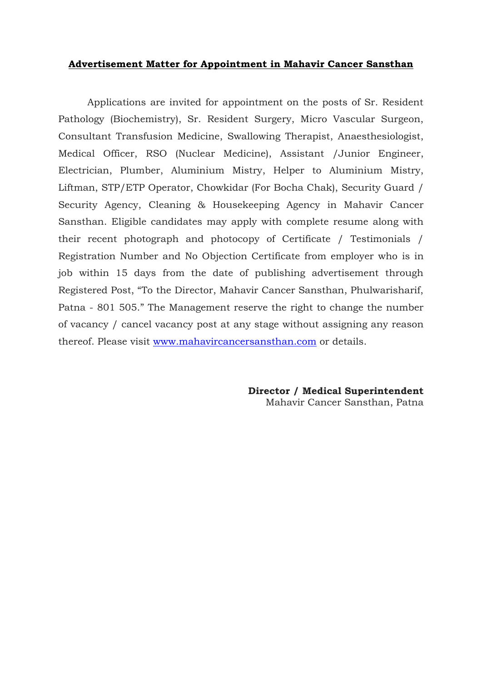## **Advertisement Matter for Appointment in Mahavir Cancer Sansthan**

Applications are invited for appointment on the posts of Sr. Resident Pathology (Biochemistry), Sr. Resident Surgery, Micro Vascular Surgeon, Consultant Transfusion Medicine, Swallowing Therapist, Anaesthesiologist, Medical Officer, RSO (Nuclear Medicine), Assistant /Junior Engineer, Electrician, Plumber, Aluminium Mistry, Helper to Aluminium Mistry, Liftman, STP/ETP Operator, Chowkidar (For Bocha Chak), Security Guard / Security Agency, Cleaning & Housekeeping Agency in Mahavir Cancer Sansthan. Eligible candidates may apply with complete resume along with their recent photograph and photocopy of Certificate / Testimonials / Registration Number and No Objection Certificate from employer who is in job within 15 days from the date of publishing advertisement through Registered Post, "To the Director, Mahavir Cancer Sansthan, Phulwarisharif, Patna - 801 505." The Management reserve the right to change the number of vacancy / cancel vacancy post at any stage without assigning any reason thereof. Please visit [www.mahavircancersansthan.com](http://www.mahavircancersansthan.com/) or details.

> **Director / Medical Superintendent** Mahavir Cancer Sansthan, Patna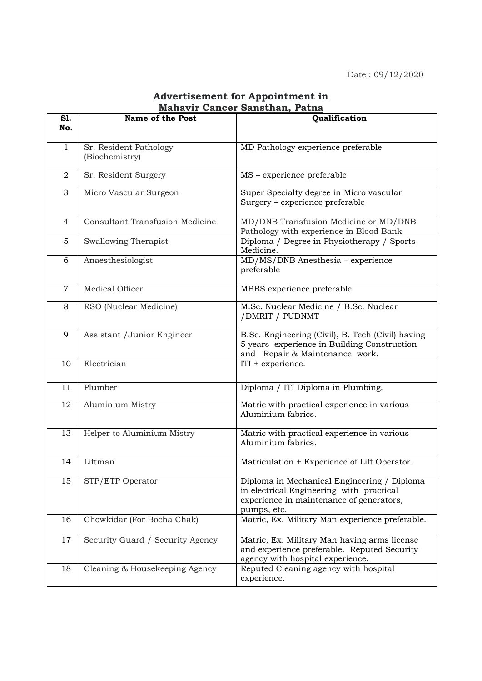| <b>Advertisement for Appointment in</b> |  |
|-----------------------------------------|--|
| <b>Mahavir Cancer Sansthan, Patna</b>   |  |

| S1.<br>No.     | Name of the Post                         | Qualification                                                                                                                                      |
|----------------|------------------------------------------|----------------------------------------------------------------------------------------------------------------------------------------------------|
| $\mathbf{1}$   | Sr. Resident Pathology<br>(Biochemistry) | MD Pathology experience preferable                                                                                                                 |
| $\overline{2}$ | Sr. Resident Surgery                     | MS - experience preferable                                                                                                                         |
| 3              | Micro Vascular Surgeon                   | Super Specialty degree in Micro vascular<br>Surgery - experience preferable                                                                        |
| $\overline{4}$ | <b>Consultant Transfusion Medicine</b>   | MD/DNB Transfusion Medicine or MD/DNB<br>Pathology with experience in Blood Bank                                                                   |
| 5              | Swallowing Therapist                     | Diploma / Degree in Physiotherapy / Sports<br>Medicine.                                                                                            |
| 6              | Anaesthesiologist                        | MD/MS/DNB Anesthesia - experience<br>preferable                                                                                                    |
| $\overline{7}$ | Medical Officer                          | MBBS experience preferable                                                                                                                         |
| 8              | RSO (Nuclear Medicine)                   | M.Sc. Nuclear Medicine / B.Sc. Nuclear<br>/DMRIT / PUDNMT                                                                                          |
| 9              | Assistant / Junior Engineer              | B.Sc. Engineering (Civil), B. Tech (Civil) having<br>5 years experience in Building Construction<br>and Repair & Maintenance work.                 |
| 10             | Electrician                              | $ITI + experience.$                                                                                                                                |
| 11             | Plumber                                  | Diploma / ITI Diploma in Plumbing.                                                                                                                 |
| 12             | Aluminium Mistry                         | Matric with practical experience in various<br>Aluminium fabrics.                                                                                  |
| 13             | Helper to Aluminium Mistry               | Matric with practical experience in various<br>Aluminium fabrics.                                                                                  |
| 14             | Liftman                                  | Matriculation + Experience of Lift Operator.                                                                                                       |
| 15             | STP/ETP Operator                         | Diploma in Mechanical Engineering / Diploma<br>in electrical Engineering with practical<br>experience in maintenance of generators,<br>pumps, etc. |
| 16             | Chowkidar (For Bocha Chak)               | Matric, Ex. Military Man experience preferable.                                                                                                    |
| 17             | Security Guard / Security Agency         | Matric, Ex. Military Man having arms license<br>and experience preferable. Reputed Security<br>agency with hospital experience.                    |
| 18             | Cleaning & Housekeeping Agency           | Reputed Cleaning agency with hospital<br>experience.                                                                                               |